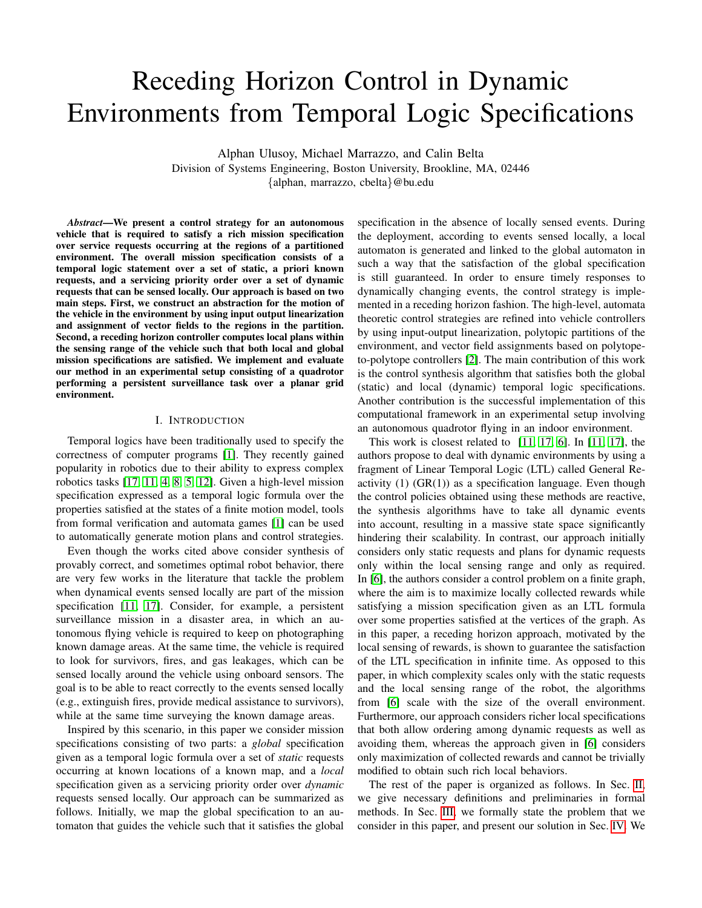# Receding Horizon Control in Dynamic Environments from Temporal Logic Specifications

Alphan Ulusoy, Michael Marrazzo, and Calin Belta Division of Systems Engineering, Boston University, Brookline, MA, 02446 {alphan, marrazzo, cbelta}@bu.edu

*Abstract*—We present a control strategy for an autonomous vehicle that is required to satisfy a rich mission specification over service requests occurring at the regions of a partitioned environment. The overall mission specification consists of a temporal logic statement over a set of static, a priori known requests, and a servicing priority order over a set of dynamic requests that can be sensed locally. Our approach is based on two main steps. First, we construct an abstraction for the motion of the vehicle in the environment by using input output linearization and assignment of vector fields to the regions in the partition. Second, a receding horizon controller computes local plans within the sensing range of the vehicle such that both local and global mission specifications are satisfied. We implement and evaluate our method in an experimental setup consisting of a quadrotor performing a persistent surveillance task over a planar grid environment.

# I. INTRODUCTION

Temporal logics have been traditionally used to specify the correctness of computer programs [\[1\]](#page-7-0). They recently gained popularity in robotics due to their ability to express complex robotics tasks [\[17,](#page-7-1) [11,](#page-7-2) [4,](#page-7-3) [8,](#page-7-4) [5,](#page-7-5) [12\]](#page-7-6). Given a high-level mission specification expressed as a temporal logic formula over the properties satisfied at the states of a finite motion model, tools from formal verification and automata games [\[1\]](#page-7-0) can be used to automatically generate motion plans and control strategies.

Even though the works cited above consider synthesis of provably correct, and sometimes optimal robot behavior, there are very few works in the literature that tackle the problem when dynamical events sensed locally are part of the mission specification [\[11,](#page-7-2) [17\]](#page-7-1). Consider, for example, a persistent surveillance mission in a disaster area, in which an autonomous flying vehicle is required to keep on photographing known damage areas. At the same time, the vehicle is required to look for survivors, fires, and gas leakages, which can be sensed locally around the vehicle using onboard sensors. The goal is to be able to react correctly to the events sensed locally (e.g., extinguish fires, provide medical assistance to survivors), while at the same time surveying the known damage areas.

Inspired by this scenario, in this paper we consider mission specifications consisting of two parts: a *global* specification given as a temporal logic formula over a set of *static* requests occurring at known locations of a known map, and a *local* specification given as a servicing priority order over *dynamic* requests sensed locally. Our approach can be summarized as follows. Initially, we map the global specification to an automaton that guides the vehicle such that it satisfies the global specification in the absence of locally sensed events. During the deployment, according to events sensed locally, a local automaton is generated and linked to the global automaton in such a way that the satisfaction of the global specification is still guaranteed. In order to ensure timely responses to dynamically changing events, the control strategy is implemented in a receding horizon fashion. The high-level, automata theoretic control strategies are refined into vehicle controllers by using input-output linearization, polytopic partitions of the environment, and vector field assignments based on polytopeto-polytope controllers [\[2\]](#page-7-7). The main contribution of this work is the control synthesis algorithm that satisfies both the global (static) and local (dynamic) temporal logic specifications. Another contribution is the successful implementation of this computational framework in an experimental setup involving an autonomous quadrotor flying in an indoor environment.

This work is closest related to  $[11, 17, 6]$  $[11, 17, 6]$  $[11, 17, 6]$ . In  $[11, 17]$  $[11, 17]$ , the authors propose to deal with dynamic environments by using a fragment of Linear Temporal Logic (LTL) called General Reactivity  $(1)$   $(GR(1))$  as a specification language. Even though the control policies obtained using these methods are reactive, the synthesis algorithms have to take all dynamic events into account, resulting in a massive state space significantly hindering their scalability. In contrast, our approach initially considers only static requests and plans for dynamic requests only within the local sensing range and only as required. In [\[6\]](#page-7-8), the authors consider a control problem on a finite graph, where the aim is to maximize locally collected rewards while satisfying a mission specification given as an LTL formula over some properties satisfied at the vertices of the graph. As in this paper, a receding horizon approach, motivated by the local sensing of rewards, is shown to guarantee the satisfaction of the LTL specification in infinite time. As opposed to this paper, in which complexity scales only with the static requests and the local sensing range of the robot, the algorithms from [\[6\]](#page-7-8) scale with the size of the overall environment. Furthermore, our approach considers richer local specifications that both allow ordering among dynamic requests as well as avoiding them, whereas the approach given in [\[6\]](#page-7-8) considers only maximization of collected rewards and cannot be trivially modified to obtain such rich local behaviors.

The rest of the paper is organized as follows. In Sec. [II,](#page-1-0) we give necessary definitions and preliminaries in formal methods. In Sec. [III,](#page-1-1) we formally state the problem that we consider in this paper, and present our solution in Sec. [IV.](#page-3-0) We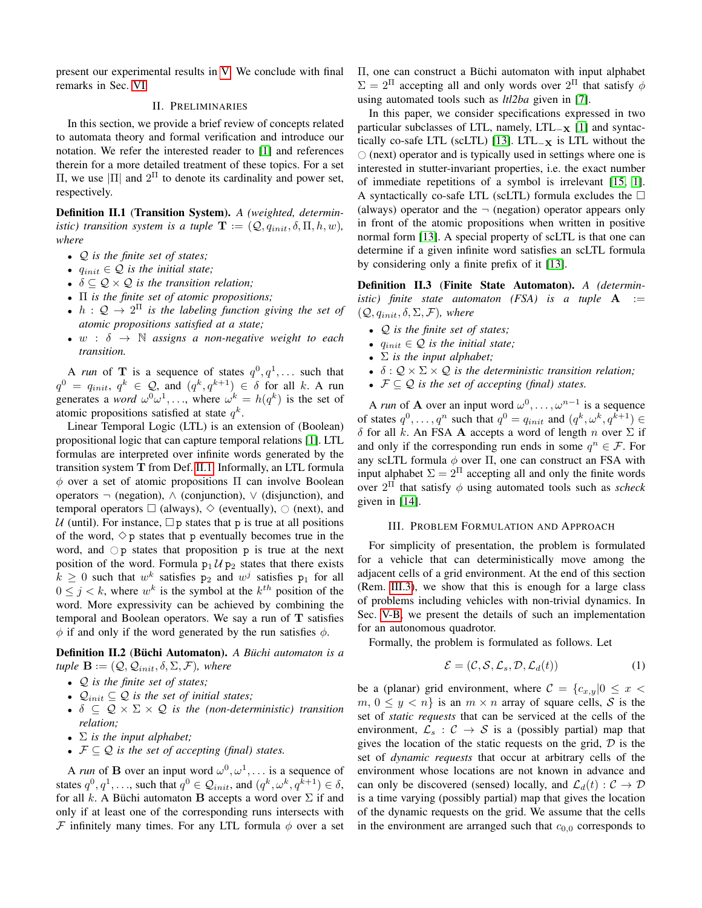present our experimental results in [V.](#page-6-0) We conclude with final remarks in Sec. [VI.](#page-7-9)

# II. PRELIMINARIES

<span id="page-1-0"></span>In this section, we provide a brief review of concepts related to automata theory and formal verification and introduce our notation. We refer the interested reader to [\[1\]](#page-7-0) and references therein for a more detailed treatment of these topics. For a set  $\Pi$ , we use  $|\Pi|$  and  $2^{\Pi}$  to denote its cardinality and power set, respectively.

<span id="page-1-2"></span>Definition II.1 (Transition System). *A (weighted, deterministic)* transition system is a tuple  $\mathbf{T} := (Q, q_{init}, \delta, \Pi, h, w)$ , *where*

- Q *is the finite set of states;*
- $q_{init} \in \mathcal{Q}$  *is the initial state;*
- $\delta \subseteq \mathcal{Q} \times \mathcal{Q}$  *is the transition relation;*
- Π *is the finite set of atomic propositions;*
- $h: \mathcal{Q} \to 2^{\Pi}$  is the labeling function giving the set of *atomic propositions satisfied at a state;*
- $w : \delta \rightarrow \mathbb{N}$  assigns a non-negative weight to each *transition.*

A *run* of **T** is a sequence of states  $q^0, q^1, \ldots$  such that  $q^0 \ = \ q_{init}, \ q^k \ \in \ \mathcal{Q}, \text{ and } \ (q^k, q^{k+1}) \ \in \ \delta \ \text{ for all } \ k. \ \text{A run}$ generates a *word*  $\omega^0 \omega^1, \ldots$ , where  $\omega^k = h(q^k)$  is the set of atomic propositions satisfied at state  $q^k$ .

Linear Temporal Logic (LTL) is an extension of (Boolean) propositional logic that can capture temporal relations [\[1\]](#page-7-0). LTL formulas are interpreted over infinite words generated by the transition system T from Def. [II.1.](#page-1-2) Informally, an LTL formula  $\phi$  over a set of atomic propositions  $\Pi$  can involve Boolean operators  $\neg$  (negation),  $\wedge$  (conjunction),  $\vee$  (disjunction), and temporal operators  $\Box$  (always),  $\diamond$  (eventually),  $\bigcirc$  (next), and U (until). For instance,  $\Box p$  states that p is true at all positions of the word,  $\Diamond p$  states that p eventually becomes true in the word, and  $\bigcirc$  p states that proposition p is true at the next position of the word. Formula  $p_1 \mathcal{U} p_2$  states that there exists  $k \geq 0$  such that  $w^k$  satisfies  $p_2$  and  $w^j$  satisfies  $p_1$  for all  $0 \leq j < k$ , where  $w^k$  is the symbol at the  $k^{th}$  position of the word. More expressivity can be achieved by combining the temporal and Boolean operators. We say a run of  $T$  satisfies  $\phi$  if and only if the word generated by the run satisfies  $\phi$ .

<span id="page-1-5"></span>**Definition II.2 (Büchi Automaton).** A Büchi automaton is a  $\mathbf{u}$  **ple**  $\mathbf{B} := (Q, Q_{init}, \delta, \Sigma, \mathcal{F})$ *, where* 

- Q *is the finite set of states;*
- $Q_{init} \subseteq Q$  *is the set of initial states;*
- $\delta \subseteq \mathcal{Q} \times \Sigma \times \mathcal{Q}$  *is the (non-deterministic) transition relation;*
- $\bullet$   $\Sigma$  *is the input alphabet;*
- $\mathcal{F} \subseteq \mathcal{Q}$  *is the set of accepting (final) states.*

A *run* of **B** over an input word  $\omega^0, \omega^1, \ldots$  is a sequence of states  $q^0, q^1, \ldots$ , such that  $q^0 \in \mathcal{Q}_{init}$ , and  $(q^k, \omega^k, q^{k+1}) \in \delta$ , for all k. A Büchi automaton **B** accepts a word over  $\Sigma$  if and only if at least one of the corresponding runs intersects with F infinitely many times. For any LTL formula  $\phi$  over a set Π, one can construct a Büchi automaton with input alphabet  $\Sigma = 2^{\Pi}$  accepting all and only words over  $2^{\Pi}$  that satisfy  $\phi$ using automated tools such as *ltl2ba* given in [\[7\]](#page-7-10).

In this paper, we consider specifications expressed in two particular subclasses of LTL, namely, LTL<sub>-X</sub> [\[1\]](#page-7-0) and syntac-tically co-safe LTL (scLTL) [\[13\]](#page-7-11). LTL<sub> $-x$ </sub> is LTL without the  $\circ$  (next) operator and is typically used in settings where one is interested in stutter-invariant properties, i.e. the exact number of immediate repetitions of a symbol is irrelevant [\[15,](#page-7-12) [1\]](#page-7-0). A syntactically co-safe LTL (scLTL) formula excludes the  $\Box$ (always) operator and the  $\neg$  (negation) operator appears only in front of the atomic propositions when written in positive normal form [\[13\]](#page-7-11). A special property of scLTL is that one can determine if a given infinite word satisfies an scLTL formula by considering only a finite prefix of it [\[13\]](#page-7-11).

<span id="page-1-4"></span>Definition II.3 (Finite State Automaton). *A (deterministic*) finite state automaton (FSA) is a tuple **A** :=  $(Q, q_{init}, \delta, \Sigma, \mathcal{F})$ *, where* 

- Q *is the finite set of states;*
- $q_{init} \in \mathcal{Q}$  *is the initial state;*
- Σ *is the input alphabet;*
- $\delta : \mathcal{Q} \times \Sigma \times \mathcal{Q}$  *is the deterministic transition relation*;
- $\mathcal{F} \subseteq \mathcal{Q}$  *is the set of accepting (final) states.*

A *run* of **A** over an input word  $\omega^0, \ldots, \omega^{n-1}$  is a sequence of states  $q^0, \ldots, q^n$  such that  $q^0 = q_{init}$  and  $(q^k, \omega^k, q^{k+1}) \in$ δ for all k. An FSA A accepts a word of length n over  $\Sigma$  if and only if the corresponding run ends in some  $q^n \in \mathcal{F}$ . For any scLTL formula  $\phi$  over  $\Pi$ , one can construct an FSA with input alphabet  $\Sigma = 2^{\Pi}$  accepting all and only the finite words over  $2^{\Pi}$  that satisfy  $\phi$  using automated tools such as *scheck* given in [\[14\]](#page-7-13).

### III. PROBLEM FORMULATION AND APPROACH

<span id="page-1-1"></span>For simplicity of presentation, the problem is formulated for a vehicle that can deterministically move among the adjacent cells of a grid environment. At the end of this section (Rem. [III.3\)](#page-3-1), we show that this is enough for a large class of problems including vehicles with non-trivial dynamics. In Sec. [V-B,](#page-6-1) we present the details of such an implementation for an autonomous quadrotor.

Formally, the problem is formulated as follows. Let

<span id="page-1-3"></span>
$$
\mathcal{E} = (\mathcal{C}, \mathcal{S}, \mathcal{L}_s, \mathcal{D}, \mathcal{L}_d(t))
$$
 (1)

be a (planar) grid environment, where  $C = \{c_{x,y}|0 \leq x$  $m, 0 \leq y < n$  is an  $m \times n$  array of square cells, S is the set of *static requests* that can be serviced at the cells of the environment,  $\mathcal{L}_s$  :  $\mathcal{C} \rightarrow \mathcal{S}$  is a (possibly partial) map that gives the location of the static requests on the grid,  $D$  is the set of *dynamic requests* that occur at arbitrary cells of the environment whose locations are not known in advance and can only be discovered (sensed) locally, and  $\mathcal{L}_d(t) : \mathcal{C} \to \mathcal{D}$ is a time varying (possibly partial) map that gives the location of the dynamic requests on the grid. We assume that the cells in the environment are arranged such that  $c_{0,0}$  corresponds to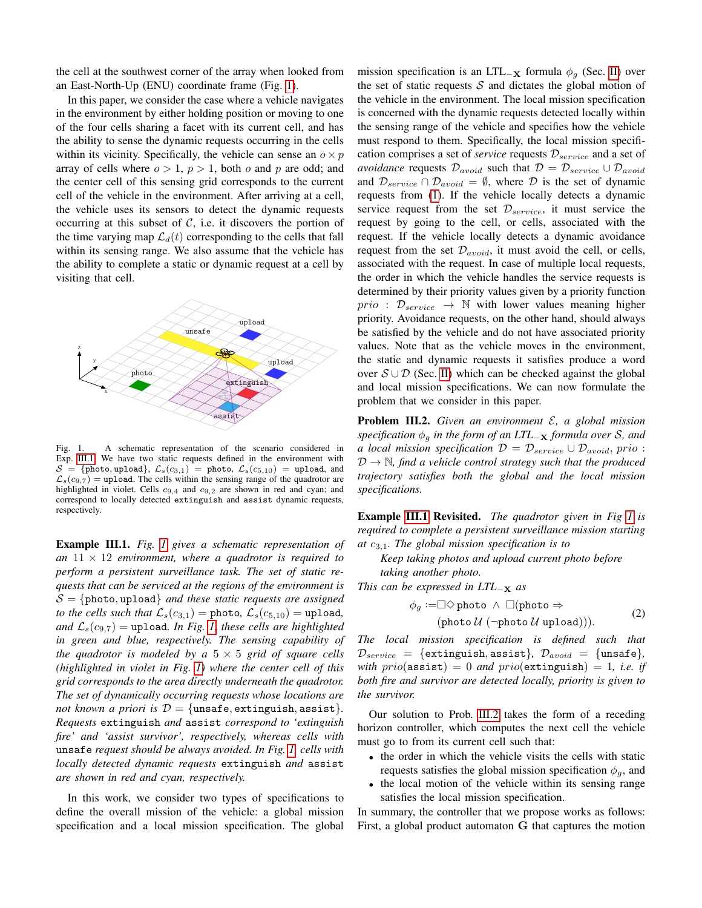the cell at the southwest corner of the array when looked from an East-North-Up (ENU) coordinate frame (Fig. [1\)](#page-2-0).

In this paper, we consider the case where a vehicle navigates in the environment by either holding position or moving to one of the four cells sharing a facet with its current cell, and has the ability to sense the dynamic requests occurring in the cells within its vicinity. Specifically, the vehicle can sense an  $o \times p$ array of cells where  $o > 1$ ,  $p > 1$ , both o and p are odd; and the center cell of this sensing grid corresponds to the current cell of the vehicle in the environment. After arriving at a cell, the vehicle uses its sensors to detect the dynamic requests occurring at this subset of  $C$ , i.e. it discovers the portion of the time varying map  $\mathcal{L}_d(t)$  corresponding to the cells that fall within its sensing range. We also assume that the vehicle has the ability to complete a static or dynamic request at a cell by visiting that cell.



<span id="page-2-0"></span>Fig. 1. A schematic representation of the scenario considered in Exp. [III.1.](#page-2-1) We have two static requests defined in the environment with  $S = \{\text{photo}, \text{update}\}, \ \mathcal{L}_s(c_{3,1}) = \text{photo}, \ \mathcal{L}_s(c_{5,10}) = \text{update}, \ \text{and}$  $\mathcal{L}_s(c_{9,7})$  = upload. The cells within the sensing range of the quadrotor are highlighted in violet. Cells  $c_{9,4}$  and  $c_{9,2}$  are shown in red and cyan; and correspond to locally detected extinguish and assist dynamic requests, respectively.

<span id="page-2-1"></span>Example III.1. *Fig. [1](#page-2-0) gives a schematic representation of an* 11 × 12 *environment, where a quadrotor is required to perform a persistent surveillance task. The set of static requests that can be serviced at the regions of the environment is*  $S = \{\text{photo}, \text{update}\}$  *and these static requests are assigned to the cells such that*  $\mathcal{L}_s(c_{3,1}) =$  photo,  $\mathcal{L}_s(c_{5,10}) =$  upload, *and*  $\mathcal{L}_s(c_{9.7})$  = upload. In Fig. [1,](#page-2-0) these cells are highlighted *in green and blue, respectively. The sensing capability of the quadrotor is modeled by a*  $5 \times 5$  *grid of square cells (highlighted in violet in Fig. [1\)](#page-2-0) where the center cell of this grid corresponds to the area directly underneath the quadrotor. The set of dynamically occurring requests whose locations are not known a priori is*  $D = \{$ unsafe, extinguish, assist $\}$ . *Requests* extinguish *and* assist *correspond to 'extinguish fire' and 'assist survivor', respectively, whereas cells with* unsafe *request should be always avoided. In Fig. [1,](#page-2-0) cells with locally detected dynamic requests* extinguish *and* assist *are shown in red and cyan, respectively.*

In this work, we consider two types of specifications to define the overall mission of the vehicle: a global mission specification and a local mission specification. The global mission specification is an LTL<sub>-X</sub> formula  $\phi_g$  (Sec. [II\)](#page-1-0) over the set of static requests  $S$  and dictates the global motion of the vehicle in the environment. The local mission specification is concerned with the dynamic requests detected locally within the sensing range of the vehicle and specifies how the vehicle must respond to them. Specifically, the local mission specification comprises a set of *service* requests  $\mathcal{D}_{service}$  and a set of *avoidance* requests  $\mathcal{D}_{avoid}$  such that  $\mathcal{D} = \mathcal{D}_{service} \cup \mathcal{D}_{avoid}$ and  $\mathcal{D}_{service} \cap \mathcal{D}_{avoid} = \emptyset$ , where  $\mathcal D$  is the set of dynamic requests from [\(1\)](#page-1-3). If the vehicle locally detects a dynamic service request from the set  $\mathcal{D}_{service}$ , it must service the request by going to the cell, or cells, associated with the request. If the vehicle locally detects a dynamic avoidance request from the set  $\mathcal{D}_{avoid}$ , it must avoid the cell, or cells, associated with the request. In case of multiple local requests, the order in which the vehicle handles the service requests is determined by their priority values given by a priority function  $prio$ :  $\mathcal{D}_{service}$   $\rightarrow$  N with lower values meaning higher priority. Avoidance requests, on the other hand, should always be satisfied by the vehicle and do not have associated priority values. Note that as the vehicle moves in the environment, the static and dynamic requests it satisfies produce a word over  $S \cup D$  (Sec. [II\)](#page-1-0) which can be checked against the global and local mission specifications. We can now formulate the problem that we consider in this paper.

<span id="page-2-2"></span>Problem III.2. *Given an environment* E*, a global mission specification*  $φ_g$  *in the form of an LTL*<sub>−**x**</sub> *formula over S, and a local mission specification*  $\mathcal{D} = \mathcal{D}_{service} \cup \mathcal{D}_{avoid}$ , prio :  $\mathcal{D} \rightarrow \mathbb{N}$ , find a vehicle control strategy such that the produced *trajectory satisfies both the global and the local mission specifications.*

Example [III.1](#page-2-1) Revisited. *The quadrotor given in Fig [1](#page-2-0) is required to complete a persistent surveillance mission starting at* c3,1*. The global mission specification is to*

*Keep taking photos and upload current photo before taking another photo.*

*This can be expressed in LTL*<sup>−</sup><sup>X</sup> *as*

$$
\phi_g := \Box \Diamond \text{photo} \land \Box(\text{photo} \Rightarrow
$$
  
(photo  $\mathcal{U} (\neg \text{photo } \mathcal{U} \text{ upload}))).$  (2)

*The local mission specification is defined such that*  $\mathcal{D}_{service}$  = {extinguish, assist},  $\mathcal{D}_{avoid}$  = {unsafe}, *with*  $prio(assist) = 0$  *and*  $prio(extinguish) = 1$ *, i.e. if both fire and survivor are detected locally, priority is given to the survivor.*

Our solution to Prob. [III.2](#page-2-2) takes the form of a receding horizon controller, which computes the next cell the vehicle must go to from its current cell such that:

- the order in which the vehicle visits the cells with static requests satisfies the global mission specification  $\phi_q$ , and
- the local motion of the vehicle within its sensing range satisfies the local mission specification.

In summary, the controller that we propose works as follows: First, a global product automaton G that captures the motion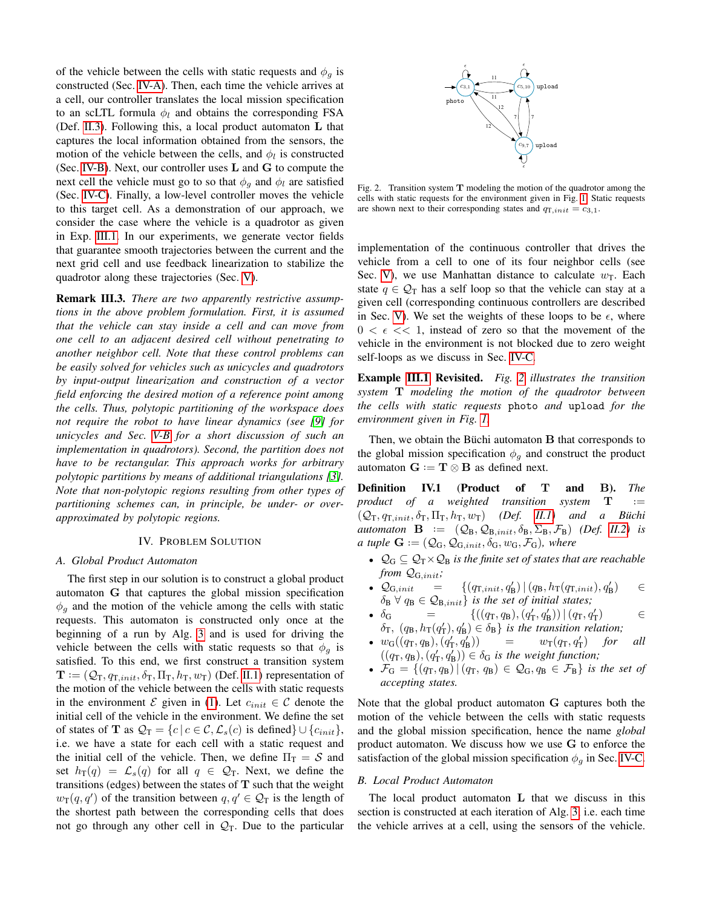of the vehicle between the cells with static requests and  $\phi_q$  is constructed (Sec. [IV-A\)](#page-3-2). Then, each time the vehicle arrives at a cell, our controller translates the local mission specification to an scLTL formula  $\phi_l$  and obtains the corresponding FSA (Def. [II.3\)](#page-1-4). Following this, a local product automaton L that captures the local information obtained from the sensors, the motion of the vehicle between the cells, and  $\phi_l$  is constructed (Sec. [IV-B\)](#page-3-3). Next, our controller uses  $L$  and  $G$  to compute the next cell the vehicle must go to so that  $\phi_g$  and  $\phi_l$  are satisfied (Sec. [IV-C\)](#page-4-0). Finally, a low-level controller moves the vehicle to this target cell. As a demonstration of our approach, we consider the case where the vehicle is a quadrotor as given in Exp. [III.1.](#page-2-1) In our experiments, we generate vector fields that guarantee smooth trajectories between the current and the next grid cell and use feedback linearization to stabilize the quadrotor along these trajectories (Sec. [V\)](#page-6-0).

<span id="page-3-1"></span>Remark III.3. *There are two apparently restrictive assumptions in the above problem formulation. First, it is assumed that the vehicle can stay inside a cell and can move from one cell to an adjacent desired cell without penetrating to another neighbor cell. Note that these control problems can be easily solved for vehicles such as unicycles and quadrotors by input-output linearization and construction of a vector field enforcing the desired motion of a reference point among the cells. Thus, polytopic partitioning of the workspace does not require the robot to have linear dynamics (see [\[9\]](#page-7-14) for unicycles and Sec. [V-B](#page-6-1) for a short discussion of such an implementation in quadrotors). Second, the partition does not have to be rectangular. This approach works for arbitrary polytopic partitions by means of additional triangulations [\[3\]](#page-7-15). Note that non-polytopic regions resulting from other types of partitioning schemes can, in principle, be under- or overapproximated by polytopic regions.*

### IV. PROBLEM SOLUTION

### <span id="page-3-2"></span><span id="page-3-0"></span>*A. Global Product Automaton*

The first step in our solution is to construct a global product automaton G that captures the global mission specification  $\phi_q$  and the motion of the vehicle among the cells with static requests. This automaton is constructed only once at the beginning of a run by Alg. [3](#page-5-0) and is used for driving the vehicle between the cells with static requests so that  $\phi_q$  is satisfied. To this end, we first construct a transition system  $\mathbf{T} := (Q_T, q_{T,init}, \delta_T, \Pi_T, h_T, w_T)$  (Def. [II.1\)](#page-1-2) representation of the motion of the vehicle between the cells with static requests in the environment  $\mathcal E$  given in [\(1\)](#page-1-3). Let  $c_{init} \in \mathcal C$  denote the initial cell of the vehicle in the environment. We define the set of states of **T** as  $\mathcal{Q}_T = \{c \mid c \in \mathcal{C}, \mathcal{L}_s(c) \text{ is defined}\} \cup \{c_{init}\},\$ i.e. we have a state for each cell with a static request and the initial cell of the vehicle. Then, we define  $\Pi_T = S$  and set  $h_T(q) = \mathcal{L}_s(q)$  for all  $q \in \mathcal{Q}_T$ . Next, we define the transitions (edges) between the states of  $T$  such that the weight  $w_T(q, q')$  of the transition between  $q, q' \in \mathcal{Q}_T$  is the length of the shortest path between the corresponding cells that does not go through any other cell in  $\mathcal{Q}_T$ . Due to the particular



<span id="page-3-4"></span>Fig. 2. Transition system  $T$  modeling the motion of the quadrotor among the cells with static requests for the environment given in Fig. [1.](#page-2-0) Static requests are shown next to their corresponding states and  $q_{\text{T},init} = c_{3,1}$ .

implementation of the continuous controller that drives the vehicle from a cell to one of its four neighbor cells (see Sec. [V\)](#page-6-0), we use Manhattan distance to calculate  $w_T$ . Each state  $q \in \mathcal{Q}_T$  has a self loop so that the vehicle can stay at a given cell (corresponding continuous controllers are described in Sec. [V\)](#page-6-0). We set the weights of these loops to be  $\epsilon$ , where  $0 < \epsilon \ll 1$ , instead of zero so that the movement of the vehicle in the environment is not blocked due to zero weight self-loops as we discuss in Sec. [IV-C.](#page-4-0)

Example [III.1](#page-2-1) Revisited. *Fig. [2](#page-3-4) illustrates the transition system* T *modeling the motion of the quadrotor between the cells with static requests* photo *and* upload *for the environment given in Fig. [1.](#page-2-0)*

Then, we obtain the Büchi automaton  **that corresponds to** the global mission specification  $\phi<sub>q</sub>$  and construct the product automaton  $\mathbf{G} := \mathbf{T} \otimes \mathbf{B}$  as defined next.

<span id="page-3-5"></span>Definition IV.1 (Product of T and B). *The product of a weighted transition system* **T** ·=  $(Q_T, q_{T,init}, \delta_T, \Pi_T, h_T, w_T)$  *(Def. [II.1\)](#page-1-2)* and a Büchi  $automaton$  **B**  $:=$   $(Q_B, Q_{B,init}, \delta_B, \Sigma_B, \mathcal{F}_B)$  *(Def. [II.2\)](#page-1-5) is a tuple*  $\mathbf{G} := (Q_G, Q_{G,init}, \delta_G, w_G, \mathcal{F}_G)$ *, where* 

- $\mathcal{Q}_G \subseteq \mathcal{Q}_T \times \mathcal{Q}_B$  *is the finite set of states that are reachable from* QG,init*;*
- $\mathcal{Q}_{G,init}$  = { $(q_{T,init}, q'_{B}) | (q_{B}, h_{T}(q_{T,init}), q'_{B})$  $\in$  $\delta_{\rm B}$   $\forall$   $q_{\rm B} \in \mathcal{Q}_{\rm B, init}$  *is the set of initial states;*
- $\delta_{\rm G}$  = {((q<sub>T</sub>, q<sub>B</sub>),(q<sub>T</sub>, q<sub>B</sub>))|(q<sub>T</sub>, q<sub>T</sub>  $\in$  $\delta_{\text{T}}$ ,  $(q_{\text{B}}$ ,  $h_{\text{T}}(q_{\text{T}}'), q_{\text{B}}') \in \delta_{\text{B}}$ *} is the transition relation*;
- $w_G((q_T, q_B), (q'_T, q'_B))$ ))  $= w_T(q_T, q_T)$ ) *for all*  $((q_T, q_B), (q'_T, q'_B)) \in \delta_G$  *is the weight function;*
- $\mathcal{F}_G = \{(q_T, q_B) | (q_T, q_B) \in \mathcal{Q}_G, q_B \in \mathcal{F}_B \}$  *is the set of accepting states.*

Note that the global product automaton G captures both the motion of the vehicle between the cells with static requests and the global mission specification, hence the name *global* product automaton. We discuss how we use G to enforce the satisfaction of the global mission specification  $\phi_q$  in Sec. [IV-C.](#page-4-0)

### <span id="page-3-3"></span>*B. Local Product Automaton*

The local product automaton L that we discuss in this section is constructed at each iteration of Alg. [3,](#page-5-0) i.e. each time the vehicle arrives at a cell, using the sensors of the vehicle.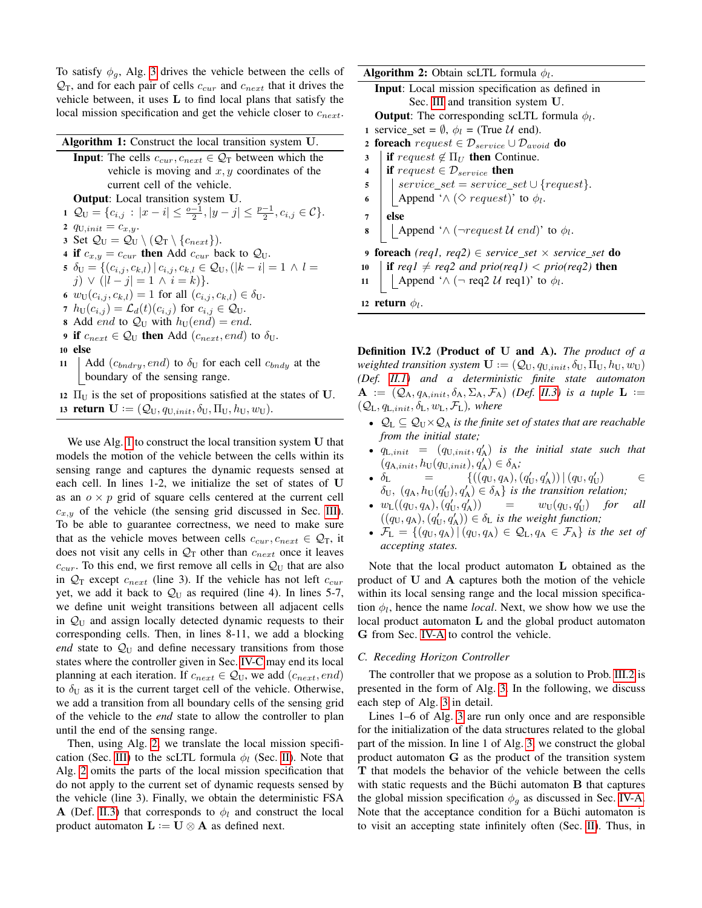To satisfy  $\phi_g$ , Alg. [3](#page-5-0) drives the vehicle between the cells of  $\mathcal{Q}_T$ , and for each pair of cells  $c_{cur}$  and  $c_{next}$  that it drives the vehicle between, it uses L to find local plans that satisfy the local mission specification and get the vehicle closer to  $c_{next}$ .

<span id="page-4-1"></span>

| Algorithm 1: Construct the local transition system U. |                                                                                                                               |  |
|-------------------------------------------------------|-------------------------------------------------------------------------------------------------------------------------------|--|
|                                                       | <b>Input:</b> The cells $c_{cur}$ , $c_{next} \in Q_T$ between which the                                                      |  |
|                                                       | vehicle is moving and $x, y$ coordinates of the                                                                               |  |
|                                                       | current cell of the vehicle.                                                                                                  |  |
|                                                       | <b>Output:</b> Local transition system U.                                                                                     |  |
|                                                       | 1 $\mathcal{Q}_{\mathbf{U}} = \{c_{i,j} :  x - i  \leq \frac{o-1}{2},  y - j  \leq \frac{p-1}{2}, c_{i,j} \in \mathcal{C}\}.$ |  |
|                                                       | 2 $q_{U,init} = c_{x,y}$ .                                                                                                    |  |
|                                                       | 3 Set $\mathcal{Q}_U = \mathcal{Q}_U \setminus (\mathcal{Q}_T \setminus \{c_{next}\}).$                                       |  |
|                                                       | 4 if $c_{x,y} = c_{cur}$ then Add $c_{cur}$ back to $\mathcal{Q}_U$ .                                                         |  |
|                                                       | 5 $\delta_{\mathbf{U}} = \{(c_{i,j}, c_{k,l})   c_{i,j}, c_{k,l} \in \mathcal{Q}_{\mathbf{U}}, ( k - i  = 1 \land l =$        |  |
|                                                       | j) $\vee$ ( l - j  = 1 \ i = k) }.                                                                                            |  |
|                                                       | 6 $w_{\text{U}}(c_{i,j}, c_{k,l}) = 1$ for all $(c_{i,j}, c_{k,l}) \in \delta_{\text{U}}$ .                                   |  |
|                                                       | 7 $h_U(c_{i,j}) = \mathcal{L}_d(t)(c_{i,j})$ for $c_{i,j} \in \mathcal{Q}_U$ .                                                |  |
|                                                       | <b>8</b> Add <i>end</i> to $Q_U$ with $h_U(end) = end$ .                                                                      |  |
|                                                       | <b>9 if</b> $c_{next} \in Q_U$ then Add $(c_{next}, end)$ to $\delta_U$ .                                                     |  |
|                                                       | 10 else                                                                                                                       |  |
|                                                       | $11 \quad \text{Add}(a \quad \text{and})$ to $\lambda$ for each call $a \quad \text{at the}$                                  |  |

- 11 | Add  $(c_{bndry}, end)$  to  $\delta_U$  for each cell  $c_{bndy}$  at the boundary of the sensing range.
- 12  $\Pi_{\text{U}}$  is the set of propositions satisfied at the states of U. 13 return  $\mathbf{U} := (\mathcal{Q}_{U}, q_{U,init}, \delta_{U}, \Pi_{U}, h_{U}, w_{U}).$

We use Alg. [1](#page-4-1) to construct the local transition system U that models the motion of the vehicle between the cells within its sensing range and captures the dynamic requests sensed at each cell. In lines 1-2, we initialize the set of states of U as an  $o \times p$  grid of square cells centered at the current cell  $c_{x,y}$  of the vehicle (the sensing grid discussed in Sec. [III\)](#page-1-1). To be able to guarantee correctness, we need to make sure that as the vehicle moves between cells  $c_{cur}$ ,  $c_{next} \in \mathcal{Q}_T$ , it does not visit any cells in  $\mathcal{Q}_T$  other than  $c_{next}$  once it leaves  $c_{cur}$ . To this end, we first remove all cells in  $\mathcal{Q}_U$  that are also in  $\mathcal{Q}_T$  except  $c_{next}$  (line 3). If the vehicle has not left  $c_{cur}$ yet, we add it back to  $Q_U$  as required (line 4). In lines 5-7, we define unit weight transitions between all adjacent cells in  $\mathcal{Q}_U$  and assign locally detected dynamic requests to their corresponding cells. Then, in lines 8-11, we add a blocking *end* state to  $\mathcal{Q}_U$  and define necessary transitions from those states where the controller given in Sec. [IV-C](#page-4-0) may end its local planning at each iteration. If  $c_{next} \in Q_U$ , we add  $(c_{next}, end)$ to  $\delta_{\text{U}}$  as it is the current target cell of the vehicle. Otherwise, we add a transition from all boundary cells of the sensing grid of the vehicle to the *end* state to allow the controller to plan until the end of the sensing range.

<span id="page-4-3"></span>Then, using Alg. [2,](#page-4-2) we translate the local mission specifi-cation (Sec. [III\)](#page-1-1) to the scLTL formula  $\phi_l$  (Sec. [II\)](#page-1-0). Note that Alg. [2](#page-4-2) omits the parts of the local mission specification that do not apply to the current set of dynamic requests sensed by the vehicle (line 3). Finally, we obtain the deterministic FSA A (Def. [II.3\)](#page-1-4) that corresponds to  $\phi_l$  and construct the local product automaton  $\mathbf{L} := \mathbf{U} \otimes \mathbf{A}$  as defined next.

**Algorithm 2:** Obtain scLTL formula  $\phi_l$ .

<span id="page-4-2"></span>

|                | <b>Input:</b> Local mission specification as defined in                          |
|----------------|----------------------------------------------------------------------------------|
|                | Sec. III and transition system U.                                                |
|                | <b>Output:</b> The corresponding scLTL formula $\phi_l$ .                        |
|                | 1 service_set = $\emptyset$ , $\phi_l$ = (True U end).                           |
|                | <b>2 foreach</b> request $\in \mathcal{D}_{service} \cup \mathcal{D}_{avoid}$ do |
| 3 <sup>7</sup> | <b>if</b> request $\notin \Pi_U$ then Continue.                                  |
| $\overline{4}$ | if request $\in \mathcal{D}_{service}$ then                                      |
| 5 <sup>5</sup> | $\vert \text{ service\_set} = service\_set \cup \{request\}.$                    |
| 6              | Append ' $\land$ ( $\diamond$ request)' to $\phi_l$ .                            |

- 6 Append ' $\wedge$  ( $\diamond$  request)' to  $\phi_l$
- $7$  else
- **8** Append ' $\land$  (¬request U end)' to  $\phi_l$ .

<sup>9</sup> foreach *(req1, req2)* ∈ *service set* × *service set* do

- 10 **if**  $req1 \neq req2$  and  $prio(req1) < prio(req2)$  then
- 11 | Append ' $\wedge$  (¬ req2 U req1)' to  $\phi_l$ .

12 return  $\phi_l$ .

Definition IV.2 (Product of U and A). *The product of a weighted transition system*  $\mathbf{U} := (\mathcal{Q}_U, q_{U,init}, \delta_U, \Pi_U, h_U, w_U)$ *(Def. [II.1\)](#page-1-2) and a deterministic finite state automaton*  $\mathbf{A}$  :=  $(Q_A, q_{A,init}, \delta_A, \Sigma_A, \mathcal{F}_A)$  *(Def. [II.3\)](#page-1-4) is a tuple*  $\mathbf{L}$  :=  $(Q_L, q_{L,init}, \delta_L, w_L, \mathcal{F}_L)$ *, where* 

- $\mathcal{Q}_L \subseteq \mathcal{Q}_U \times \mathcal{Q}_A$  *is the finite set of states that are reachable from the initial state;*
- $q_{\text{L},init}$  =  $(q_{\text{U},init}, q_{\text{A}}')$  is the initial state such that  $(q_{\mathrm{A},init}, h_{\mathrm{U}}(q_{\mathrm{U},init}), q_{\mathrm{A}}') \in \delta_{\mathrm{A}};$
- $\delta_{\rm L}$  = {((q<sub>U</sub>, q<sub>A</sub>),(q<sub>U</sub>, q<sub>A</sub>))|(q<sub>U</sub>, q<sub>U</sub>)  $\in$  $\delta_U$ ,  $(q_A, h_U(q'_U), q'_A) \in \delta_A$  *is the transition relation*;
- $w_{\rm L}((q_{\rm U}, q_{\rm A}), (q'_{\rm U}, q'_{\rm A}))$ ))  $=$   $w_{\text{U}}(q_{\text{U}}, q_{\text{U}}')$ ) *for all*  $((q_{\mathrm{U}}, q_{\mathrm{A}}), (q'_{\mathrm{U}}, q'_{\mathrm{A}})) \in \delta_{\mathrm{L}}$  *is the weight function;*
- $\mathcal{F}_L = \{(q_U, q_A) | (q_U, q_A) \in \mathcal{Q}_L, q_A \in \mathcal{F}_A \}$  *is the set of accepting states.*

Note that the local product automaton L obtained as the product of U and A captures both the motion of the vehicle within its local sensing range and the local mission specification  $\phi_l$ , hence the name *local*. Next, we show how we use the local product automaton L and the global product automaton G from Sec. [IV-A](#page-3-2) to control the vehicle.

### <span id="page-4-0"></span>*C. Receding Horizon Controller*

The controller that we propose as a solution to Prob. [III.2](#page-2-2) is presented in the form of Alg. [3.](#page-5-0) In the following, we discuss each step of Alg. [3](#page-5-0) in detail.

Lines 1–6 of Alg. [3](#page-5-0) are run only once and are responsible for the initialization of the data structures related to the global part of the mission. In line 1 of Alg. [3,](#page-5-0) we construct the global product automaton G as the product of the transition system T that models the behavior of the vehicle between the cells with static requests and the Büchi automaton  $\bf{B}$  that captures the global mission specification  $\phi_q$  as discussed in Sec. [IV-A.](#page-3-2) Note that the acceptance condition for a Büchi automaton is to visit an accepting state infinitely often (Sec. [II\)](#page-1-0). Thus, in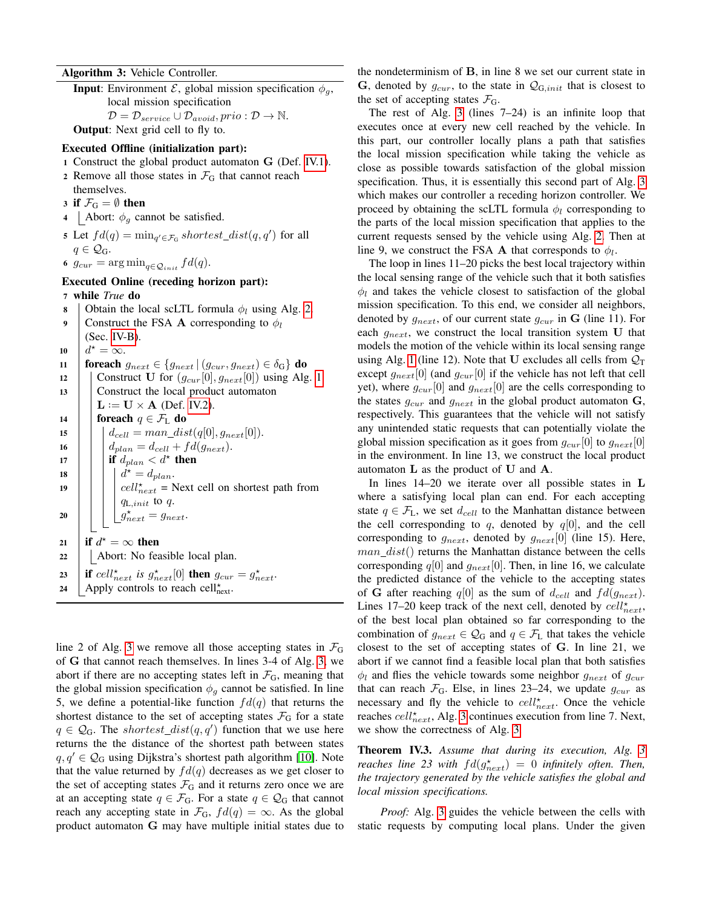Algorithm 3: Vehicle Controller.

<span id="page-5-0"></span>**Input**: Environment  $\mathcal{E}$ , global mission specification  $\phi_g$ , local mission specification  $\mathcal{D} = \mathcal{D}_{service} \cup \mathcal{D}_{avoid}, \text{prio} : \mathcal{D} \rightarrow \mathbb{N}.$ **Output:** Next grid cell to fly to.

### Executed Offline (initialization part):

- <sup>1</sup> Construct the global product automaton G (Def. [IV.1\)](#page-3-5).
- 2 Remove all those states in  $\mathcal{F}_G$  that cannot reach
- themselves.
- 3 if  $\mathcal{F}_G = \emptyset$  then
- 4 | Abort:  $\phi_q$  cannot be satisfied.
- 5 Let  $fd(q) = \min_{q' \in \mathcal{F}_G} shortest\_dist(q, q')$  for all  $q \in \mathcal{Q}_G$ .
- 6  $g_{cur} = \arg \min_{q \in \mathcal{Q}_{init}} f d(q)$ .

# Executed Online (receding horizon part):

<sup>7</sup> while *True* do

| Construct the FSA <b>A</b> corresponding to $\phi_l$<br>9<br>$(Sec. IV-B).$<br>$d^{\star}=\infty.$<br>10<br><b>foreach</b> $g_{next} \in \{g_{next}   (g_{cur}, g_{next}) \in \delta_G\}$ <b>do</b><br>11<br>Construct U for $(g_{cur}[0], g_{next}[0])$ using Alg. 1.<br>12<br>Construct the local product automaton<br>13<br>$\mathbf{L} := \mathbf{U} \times \mathbf{A}$ (Def. IV.2).<br>foreach $q \in \mathcal{F}_L$ do<br>14<br>$d_{cell} = man\_dist(q[0], g_{next}[0]).$<br>15<br>$d_{plan} = d_{cell} + fd(g_{next}).$<br>16<br>if $d_{plan} < d^*$ then<br>17<br>$d^* = d_{plan}.$<br>18<br>$\left $ cell $_{next}^{\star}$ = Next cell on shortest path from<br>19<br>$q_{\text{L},init}$ to q.<br>$g_{next}^* = g_{next}$ .<br>20<br>if $d^* = \infty$ then<br>21<br>Abort: No feasible local plan.<br>22<br>if cell <sup>*</sup> <i>next</i> is $g_{next}^{\star}[0]$ then $g_{cur} = g_{next}^{\star}$ .<br>23<br>Apply controls to reach cell $\star_{\text{next}}$ .<br>24 | 8 | Obtain the local scLTL formula $\phi_l$ using Alg. 2. |
|--------------------------------------------------------------------------------------------------------------------------------------------------------------------------------------------------------------------------------------------------------------------------------------------------------------------------------------------------------------------------------------------------------------------------------------------------------------------------------------------------------------------------------------------------------------------------------------------------------------------------------------------------------------------------------------------------------------------------------------------------------------------------------------------------------------------------------------------------------------------------------------------------------------------------------------------------------------------------------------------|---|-------------------------------------------------------|
|                                                                                                                                                                                                                                                                                                                                                                                                                                                                                                                                                                                                                                                                                                                                                                                                                                                                                                                                                                                            |   |                                                       |
|                                                                                                                                                                                                                                                                                                                                                                                                                                                                                                                                                                                                                                                                                                                                                                                                                                                                                                                                                                                            |   |                                                       |
|                                                                                                                                                                                                                                                                                                                                                                                                                                                                                                                                                                                                                                                                                                                                                                                                                                                                                                                                                                                            |   |                                                       |
|                                                                                                                                                                                                                                                                                                                                                                                                                                                                                                                                                                                                                                                                                                                                                                                                                                                                                                                                                                                            |   |                                                       |
|                                                                                                                                                                                                                                                                                                                                                                                                                                                                                                                                                                                                                                                                                                                                                                                                                                                                                                                                                                                            |   |                                                       |
|                                                                                                                                                                                                                                                                                                                                                                                                                                                                                                                                                                                                                                                                                                                                                                                                                                                                                                                                                                                            |   |                                                       |
|                                                                                                                                                                                                                                                                                                                                                                                                                                                                                                                                                                                                                                                                                                                                                                                                                                                                                                                                                                                            |   |                                                       |
|                                                                                                                                                                                                                                                                                                                                                                                                                                                                                                                                                                                                                                                                                                                                                                                                                                                                                                                                                                                            |   |                                                       |
|                                                                                                                                                                                                                                                                                                                                                                                                                                                                                                                                                                                                                                                                                                                                                                                                                                                                                                                                                                                            |   |                                                       |
|                                                                                                                                                                                                                                                                                                                                                                                                                                                                                                                                                                                                                                                                                                                                                                                                                                                                                                                                                                                            |   |                                                       |
|                                                                                                                                                                                                                                                                                                                                                                                                                                                                                                                                                                                                                                                                                                                                                                                                                                                                                                                                                                                            |   |                                                       |
|                                                                                                                                                                                                                                                                                                                                                                                                                                                                                                                                                                                                                                                                                                                                                                                                                                                                                                                                                                                            |   |                                                       |
|                                                                                                                                                                                                                                                                                                                                                                                                                                                                                                                                                                                                                                                                                                                                                                                                                                                                                                                                                                                            |   |                                                       |
|                                                                                                                                                                                                                                                                                                                                                                                                                                                                                                                                                                                                                                                                                                                                                                                                                                                                                                                                                                                            |   |                                                       |
|                                                                                                                                                                                                                                                                                                                                                                                                                                                                                                                                                                                                                                                                                                                                                                                                                                                                                                                                                                                            |   |                                                       |
|                                                                                                                                                                                                                                                                                                                                                                                                                                                                                                                                                                                                                                                                                                                                                                                                                                                                                                                                                                                            |   |                                                       |
|                                                                                                                                                                                                                                                                                                                                                                                                                                                                                                                                                                                                                                                                                                                                                                                                                                                                                                                                                                                            |   |                                                       |
|                                                                                                                                                                                                                                                                                                                                                                                                                                                                                                                                                                                                                                                                                                                                                                                                                                                                                                                                                                                            |   |                                                       |
|                                                                                                                                                                                                                                                                                                                                                                                                                                                                                                                                                                                                                                                                                                                                                                                                                                                                                                                                                                                            |   |                                                       |
|                                                                                                                                                                                                                                                                                                                                                                                                                                                                                                                                                                                                                                                                                                                                                                                                                                                                                                                                                                                            |   |                                                       |
|                                                                                                                                                                                                                                                                                                                                                                                                                                                                                                                                                                                                                                                                                                                                                                                                                                                                                                                                                                                            |   |                                                       |

line 2 of Alg. [3](#page-5-0) we remove all those accepting states in  $\mathcal{F}_{G}$ of G that cannot reach themselves. In lines 3-4 of Alg. [3,](#page-5-0) we abort if there are no accepting states left in  $\mathcal{F}_G$ , meaning that the global mission specification  $\phi_q$  cannot be satisfied. In line 5, we define a potential-like function  $fd(q)$  that returns the shortest distance to the set of accepting states  $\mathcal{F}_G$  for a state  $q \in \mathcal{Q}_G$ . The shortest\_dist $(q, q')$  function that we use here returns the the distance of the shortest path between states  $q, q' \in \mathcal{Q}_G$  using Dijkstra's shortest path algorithm [\[10\]](#page-7-16). Note that the value returned by  $fd(q)$  decreases as we get closer to the set of accepting states  $\mathcal{F}_G$  and it returns zero once we are at an accepting state  $q \in \mathcal{F}_G$ . For a state  $q \in \mathcal{Q}_G$  that cannot reach any accepting state in  $\mathcal{F}_G$ ,  $fd(q) = \infty$ . As the global product automaton G may have multiple initial states due to

the nondeterminism of B, in line 8 we set our current state in G, denoted by  $g_{cur}$ , to the state in  $\mathcal{Q}_{G,init}$  that is closest to the set of accepting states  $\mathcal{F}_G$ .

The rest of Alg. [3](#page-5-0) (lines  $7-24$ ) is an infinite loop that executes once at every new cell reached by the vehicle. In this part, our controller locally plans a path that satisfies the local mission specification while taking the vehicle as close as possible towards satisfaction of the global mission specification. Thus, it is essentially this second part of Alg. [3](#page-5-0) which makes our controller a receding horizon controller. We proceed by obtaining the scLTL formula  $\phi_l$  corresponding to the parts of the local mission specification that applies to the current requests sensed by the vehicle using Alg. [2.](#page-4-2) Then at line 9, we construct the FSA **A** that corresponds to  $\phi_l$ .

The loop in lines 11–20 picks the best local trajectory within the local sensing range of the vehicle such that it both satisfies  $\phi_l$  and takes the vehicle closest to satisfaction of the global mission specification. To this end, we consider all neighbors, denoted by  $g_{next}$ , of our current state  $g_{cur}$  in G (line 11). For each  $g_{next}$ , we construct the local transition system U that models the motion of the vehicle within its local sensing range using Alg. [1](#page-4-1) (line 12). Note that U excludes all cells from  $Q_T$ except  $g_{next}[0]$  (and  $g_{cur}[0]$  if the vehicle has not left that cell yet), where  $g_{cur}[0]$  and  $g_{next}[0]$  are the cells corresponding to the states  $g_{cur}$  and  $g_{next}$  in the global product automaton  $\bf{G}$ , respectively. This guarantees that the vehicle will not satisfy any unintended static requests that can potentially violate the global mission specification as it goes from  $g_{cur}[0]$  to  $g_{next}[0]$ in the environment. In line 13, we construct the local product automaton L as the product of U and A.

In lines  $14-20$  we iterate over all possible states in L where a satisfying local plan can end. For each accepting state  $q \in \mathcal{F}_L$ , we set  $d_{cell}$  to the Manhattan distance between the cell corresponding to q, denoted by  $q[0]$ , and the cell corresponding to  $g_{next}$ , denoted by  $g_{next}[0]$  (line 15). Here,  $man\_dist()$  returns the Manhattan distance between the cells corresponding  $q[0]$  and  $g_{next}[0]$ . Then, in line 16, we calculate the predicted distance of the vehicle to the accepting states of G after reaching  $q[0]$  as the sum of  $d_{cell}$  and  $fd(g_{next})$ . Lines 17–20 keep track of the next cell, denoted by  $cell_{next}^{\star}$ , of the best local plan obtained so far corresponding to the combination of  $g_{next} \in \mathcal{Q}_G$  and  $q \in \mathcal{F}_L$  that takes the vehicle closest to the set of accepting states of G. In line 21, we abort if we cannot find a feasible local plan that both satisfies  $\phi_l$  and flies the vehicle towards some neighbor  $g_{next}$  of  $g_{cur}$ that can reach  $\mathcal{F}_{G}$ . Else, in lines 23–24, we update  $g_{\text{cur}}$  as necessary and fly the vehicle to  $cell_{next}^{\star}$ . Once the vehicle reaches  $cell_{next}^{\star}$ , Alg. [3](#page-5-0) continues execution from line 7. Next, we show the correctness of Alg. [3.](#page-5-0)

<span id="page-5-1"></span>Theorem IV.3. *Assume that during its execution, Alg. [3](#page-5-0) reaches line 23 with*  $fd(g_{next}^{\star}) = 0$  *infinitely often. Then, the trajectory generated by the vehicle satisfies the global and local mission specifications.*

*Proof:* Alg. [3](#page-5-0) guides the vehicle between the cells with static requests by computing local plans. Under the given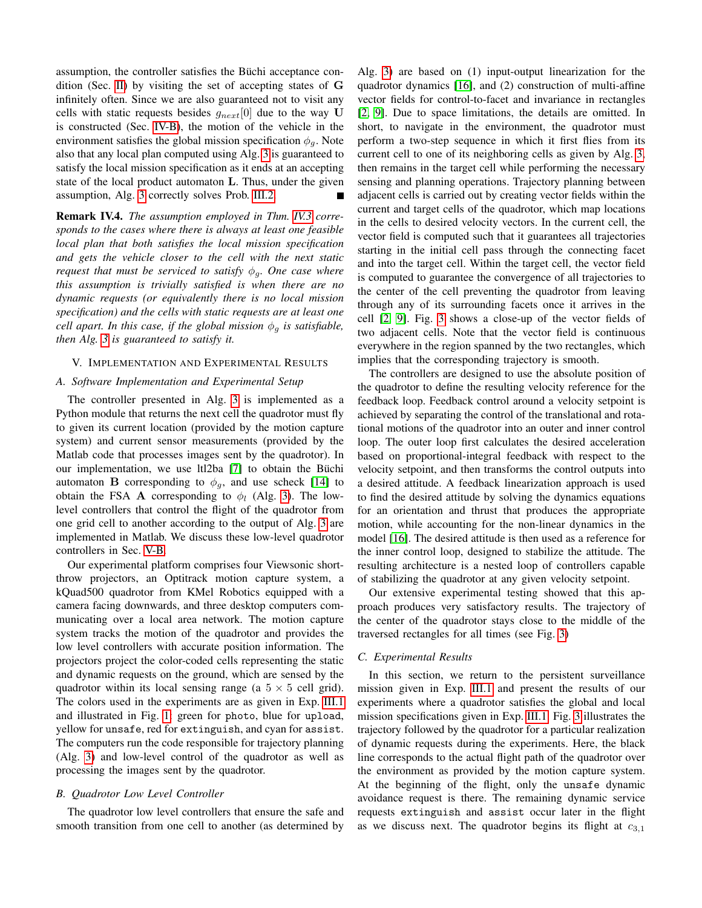assumption, the controller satisfies the Büchi acceptance condition (Sec. [II\)](#page-1-0) by visiting the set of accepting states of G infinitely often. Since we are also guaranteed not to visit any cells with static requests besides  $g_{next}[0]$  due to the way U is constructed (Sec. [IV-B\)](#page-3-3), the motion of the vehicle in the environment satisfies the global mission specification  $\phi_q$ . Note also that any local plan computed using Alg. [3](#page-5-0) is guaranteed to satisfy the local mission specification as it ends at an accepting state of the local product automaton L. Thus, under the given assumption, Alg. [3](#page-5-0) correctly solves Prob. [III.2.](#page-2-2)

Remark IV.4. *The assumption employed in Thm. [IV.3](#page-5-1) corresponds to the cases where there is always at least one feasible local plan that both satisfies the local mission specification and gets the vehicle closer to the cell with the next static request that must be serviced to satisfy*  $\phi_q$ *. One case where this assumption is trivially satisfied is when there are no dynamic requests (or equivalently there is no local mission specification) and the cells with static requests are at least one cell apart. In this case, if the global mission*  $\phi_q$  *is satisfiable, then Alg. [3](#page-5-0) is guaranteed to satisfy it.*

### <span id="page-6-0"></span>V. IMPLEMENTATION AND EXPERIMENTAL RESULTS

### *A. Software Implementation and Experimental Setup*

The controller presented in Alg. [3](#page-5-0) is implemented as a Python module that returns the next cell the quadrotor must fly to given its current location (provided by the motion capture system) and current sensor measurements (provided by the Matlab code that processes images sent by the quadrotor). In our implementation, we use ltl2ba [\[7\]](#page-7-10) to obtain the Büchi automaton **B** corresponding to  $\phi_g$ , and use scheck [\[14\]](#page-7-13) to obtain the FSA **A** corresponding to  $\phi_l$  (Alg. [3\)](#page-5-0). The lowlevel controllers that control the flight of the quadrotor from one grid cell to another according to the output of Alg. [3](#page-5-0) are implemented in Matlab. We discuss these low-level quadrotor controllers in Sec. [V-B.](#page-6-1)

Our experimental platform comprises four Viewsonic shortthrow projectors, an Optitrack motion capture system, a kQuad500 quadrotor from KMel Robotics equipped with a camera facing downwards, and three desktop computers communicating over a local area network. The motion capture system tracks the motion of the quadrotor and provides the low level controllers with accurate position information. The projectors project the color-coded cells representing the static and dynamic requests on the ground, which are sensed by the quadrotor within its local sensing range (a  $5 \times 5$  cell grid). The colors used in the experiments are as given in Exp. [III.1](#page-2-1) and illustrated in Fig. [1:](#page-2-0) green for photo, blue for upload, yellow for unsafe, red for extinguish, and cyan for assist. The computers run the code responsible for trajectory planning (Alg. [3\)](#page-5-0) and low-level control of the quadrotor as well as processing the images sent by the quadrotor.

# <span id="page-6-1"></span>*B. Quadrotor Low Level Controller*

The quadrotor low level controllers that ensure the safe and smooth transition from one cell to another (as determined by Alg. [3\)](#page-5-0) are based on (1) input-output linearization for the quadrotor dynamics [\[16\]](#page-7-17), and (2) construction of multi-affine vector fields for control-to-facet and invariance in rectangles [\[2,](#page-7-7) [9\]](#page-7-14). Due to space limitations, the details are omitted. In short, to navigate in the environment, the quadrotor must perform a two-step sequence in which it first flies from its current cell to one of its neighboring cells as given by Alg. [3,](#page-5-0) then remains in the target cell while performing the necessary sensing and planning operations. Trajectory planning between adjacent cells is carried out by creating vector fields within the current and target cells of the quadrotor, which map locations in the cells to desired velocity vectors. In the current cell, the vector field is computed such that it guarantees all trajectories starting in the initial cell pass through the connecting facet and into the target cell. Within the target cell, the vector field is computed to guarantee the convergence of all trajectories to the center of the cell preventing the quadrotor from leaving through any of its surrounding facets once it arrives in the cell [\[2,](#page-7-7) [9\]](#page-7-14). Fig. [3](#page-7-18) shows a close-up of the vector fields of two adjacent cells. Note that the vector field is continuous everywhere in the region spanned by the two rectangles, which implies that the corresponding trajectory is smooth.

The controllers are designed to use the absolute position of the quadrotor to define the resulting velocity reference for the feedback loop. Feedback control around a velocity setpoint is achieved by separating the control of the translational and rotational motions of the quadrotor into an outer and inner control loop. The outer loop first calculates the desired acceleration based on proportional-integral feedback with respect to the velocity setpoint, and then transforms the control outputs into a desired attitude. A feedback linearization approach is used to find the desired attitude by solving the dynamics equations for an orientation and thrust that produces the appropriate motion, while accounting for the non-linear dynamics in the model [\[16\]](#page-7-17). The desired attitude is then used as a reference for the inner control loop, designed to stabilize the attitude. The resulting architecture is a nested loop of controllers capable of stabilizing the quadrotor at any given velocity setpoint.

Our extensive experimental testing showed that this approach produces very satisfactory results. The trajectory of the center of the quadrotor stays close to the middle of the traversed rectangles for all times (see Fig. [3\)](#page-7-18)

### *C. Experimental Results*

In this section, we return to the persistent surveillance mission given in Exp. [III.1](#page-2-1) and present the results of our experiments where a quadrotor satisfies the global and local mission specifications given in Exp. [III.1.](#page-2-1) Fig. [3](#page-7-18) illustrates the trajectory followed by the quadrotor for a particular realization of dynamic requests during the experiments. Here, the black line corresponds to the actual flight path of the quadrotor over the environment as provided by the motion capture system. At the beginning of the flight, only the unsafe dynamic avoidance request is there. The remaining dynamic service requests extinguish and assist occur later in the flight as we discuss next. The quadrotor begins its flight at  $c_{3,1}$